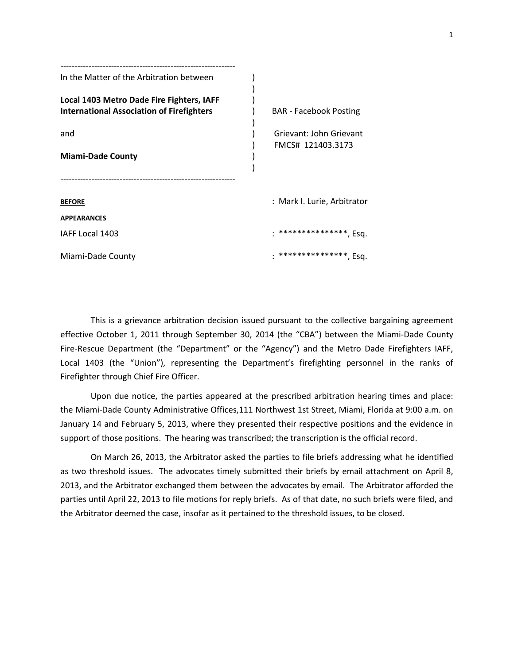| In the Matter of the Arbitration between                                                      |                                              |
|-----------------------------------------------------------------------------------------------|----------------------------------------------|
| Local 1403 Metro Dade Fire Fighters, IAFF<br><b>International Association of Firefighters</b> | <b>BAR</b> - Facebook Posting                |
| and<br><b>Miami-Dade County</b>                                                               | Grievant: John Grievant<br>FMCS# 121403.3173 |
|                                                                                               |                                              |
| <b>BEFORE</b>                                                                                 | : Mark I. Lurie, Arbitrator                  |
| <b>APPEARANCES</b>                                                                            |                                              |
| IAFF Local 1403                                                                               | ****************, Esq.                       |
| Miami-Dade County                                                                             | ****************, Esq.                       |

This is a grievance arbitration decision issued pursuant to the collective bargaining agreement effective October 1, 2011 through September 30, 2014 (the "CBA") between the Miami-Dade County Fire-Rescue Department (the "Department" or the "Agency") and the Metro Dade Firefighters IAFF, Local 1403 (the "Union"), representing the Department's firefighting personnel in the ranks of Firefighter through Chief Fire Officer.

Upon due notice, the parties appeared at the prescribed arbitration hearing times and place: the Miami-Dade County Administrative Offices,111 Northwest 1st Street, Miami, Florida at 9:00 a.m. on January 14 and February 5, 2013, where they presented their respective positions and the evidence in support of those positions. The hearing was transcribed; the transcription is the official record.

On March 26, 2013, the Arbitrator asked the parties to file briefs addressing what he identified as two threshold issues. The advocates timely submitted their briefs by email attachment on April 8, 2013, and the Arbitrator exchanged them between the advocates by email. The Arbitrator afforded the parties until April 22, 2013 to file motions for reply briefs. As of that date, no such briefs were filed, and the Arbitrator deemed the case, insofar as it pertained to the threshold issues, to be closed.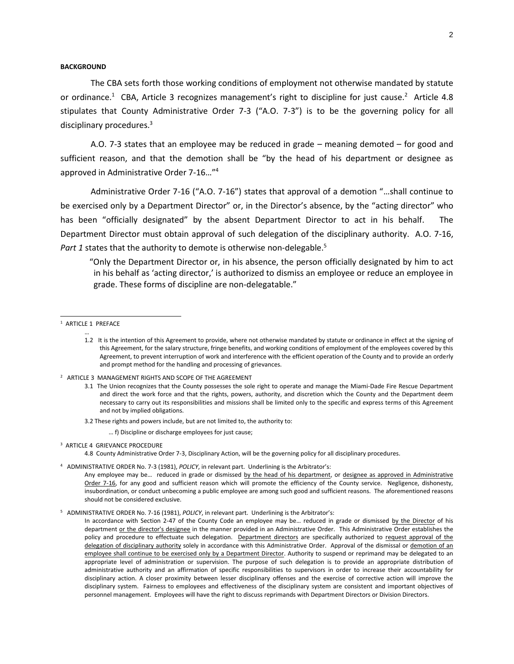### **BACKGROUND**

The CBA sets forth those working conditions of employment not otherwise mandated by statute or ordinance.<sup>1</sup> CBA, Article 3 recognizes management's right to discipline for just cause.<sup>2</sup> Article 4.8 stipulates that County Administrative Order 7-3 ("A.O. 7-3") is to be the governing policy for all disciplinary procedures.<sup>3</sup>

A.O. 7-3 states that an employee may be reduced in grade – meaning demoted – for good and sufficient reason, and that the demotion shall be "by the head of his department or designee as approved in Administrative Order 7-16…"<sup>4</sup>

Administrative Order 7-16 ("A.O. 7-16") states that approval of a demotion "…shall continue to be exercised only by a Department Director" or, in the Director's absence, by the "acting director" who has been "officially designated" by the absent Department Director to act in his behalf. The Department Director must obtain approval of such delegation of the disciplinary authority. A.O. 7-16, Part 1 states that the authority to demote is otherwise non-delegable.<sup>5</sup>

"Only the Department Director or, in his absence, the person officially designated by him to act in his behalf as 'acting director,' is authorized to dismiss an employee or reduce an employee in grade. These forms of discipline are non-delegatable."

 $\overline{a}$ 

2 ARTICLE 3 MANAGEMENT RIGHTS AND SCOPE OF THE AGREEMENT

- 3.2 These rights and powers include, but are not limited to, the authority to:
	- … f) Discipline or discharge employees for just cause;

4.8County Administrative Order 7-3, Disciplinary Action, will be the governing policy for all disciplinary procedures.

4 ADMINISTRATIVE ORDER No. 7-3 (1981), *POLICY*, in relevant part. Underlining is the Arbitrator's:

<sup>&</sup>lt;sup>1</sup> ARTICLE 1 PREFACE …

<sup>1.2</sup> It is the intention of this Agreement to provide, where not otherwise mandated by statute or ordinance in effect at the signing of this Agreement, for the salary structure, fringe benefits, and working conditions of employment of the employees covered by this Agreement, to prevent interruption of work and interference with the efficient operation of the County and to provide an orderly and prompt method for the handling and processing of grievances.

<sup>3.1</sup> The Union recognizes that the County possesses the sole right to operate and manage the Miami-Dade Fire Rescue Department and direct the work force and that the rights, powers, authority, and discretion which the County and the Department deem necessary to carry out its responsibilities and missions shall be limited only to the specific and express terms of this Agreement and not by implied obligations.

<sup>&</sup>lt;sup>3</sup> ARTICLE 4 GRIEVANCE PROCEDURE

Any employee may be... reduced in grade or dismissed by the head of his department, or designee as approved in Administrative Order 7-16, for any good and sufficient reason which will promote the efficiency of the County service. Negligence, dishonesty, insubordination, or conduct unbecoming a public employee are among such good and sufficient reasons. The aforementioned reasons should not be considered exclusive.

<sup>5</sup> ADMINISTRATIVE ORDER No. 7-16 (1981), *POLICY*, in relevant part. Underlining is the Arbitrator's:

In accordance with Section 2-47 of the County Code an employee may be... reduced in grade or dismissed by the Director of his department or the director's designee in the manner provided in an Administrative Order. This Administrative Order establishes the policy and procedure to effectuate such delegation. Department directors are specifically authorized to request approval of the delegation of disciplinary authority solely in accordance with this Administrative Order. Approval of the dismissal or demotion of an employee shall continue to be exercised only by a Department Director. Authority to suspend or reprimand may be delegated to an appropriate level of administration or supervision. The purpose of such delegation is to provide an appropriate distribution of administrative authority and an affirmation of specific responsibilities to supervisors in order to increase their accountability for disciplinary action. A closer proximity between lesser disciplinary offenses and the exercise of corrective action will improve the disciplinary system. Fairness to employees and effectiveness of the disciplinary system are consistent and important objectives of personnel management. Employees will have the right to discuss reprimands with Department Directors or Division Directors.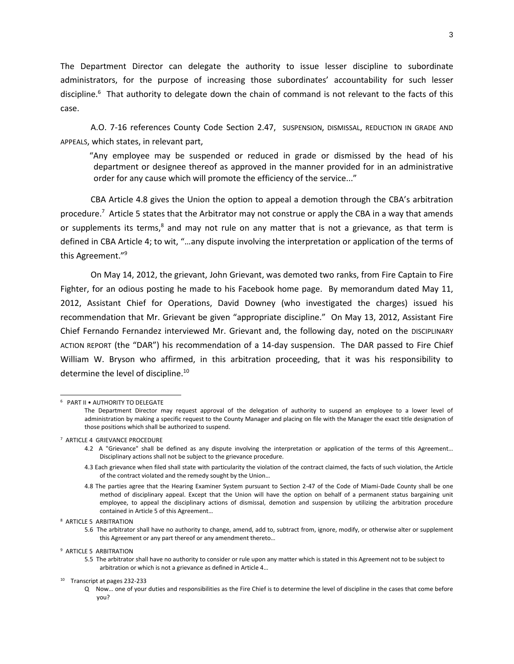The Department Director can delegate the authority to issue lesser discipline to subordinate administrators, for the purpose of increasing those subordinates' accountability for such lesser discipline.<sup>6</sup> That authority to delegate down the chain of command is not relevant to the facts of this case.

A.O. 7-16 references County Code Section 2.47, SUSPENSION, DISMISSAL, REDUCTION IN GRADE AND APPEALS, which states, in relevant part,

"Any employee may be suspended or reduced in grade or dismissed by the head of his department or designee thereof as approved in the manner provided for in an administrative order for any cause which will promote the efficiency of the service..."

CBA Article 4.8 gives the Union the option to appeal a demotion through the CBA's arbitration procedure. <sup>7</sup> Article 5 states that the Arbitrator may not construe or apply the CBA in a way that amends or supplements its terms, $8$  and may not rule on any matter that is not a grievance, as that term is defined in CBA Article 4; to wit, "…any dispute involving the interpretation or application of the terms of this Agreement." 9

On May 14, 2012, the grievant, John Grievant, was demoted two ranks, from Fire Captain to Fire Fighter, for an odious posting he made to his Facebook home page. By memorandum dated May 11, 2012, Assistant Chief for Operations, David Downey (who investigated the charges) issued his recommendation that Mr. Grievant be given "appropriate discipline." On May 13, 2012, Assistant Fire Chief Fernando Fernandez interviewed Mr. Grievant and, the following day, noted on the DISCIPLINARY ACTION REPORT (the "DAR") his recommendation of a 14-day suspension. The DAR passed to Fire Chief William W. Bryson who affirmed, in this arbitration proceeding, that it was his responsibility to determine the level of discipline.<sup>10</sup>

l

4.3 Each grievance when filed shall state with particularity the violation of the contract claimed, the facts of such violation, the Article of the contract violated and the remedy sought by the Union…

<sup>6</sup> PART II • AUTHORITY TO DELEGATE The Department Director may request approval of the delegation of authority to suspend an employee to a lower level of administration by making a specific request to the County Manager and placing on file with the Manager the exact title designation of those positions which shall be authorized to suspend.

<sup>7</sup> ARTICLE 4 GRIEVANCE PROCEDURE

<sup>4.2</sup> A "Grievance" shall be defined as any dispute involving the interpretation or application of the terms of this Agreement… Disciplinary actions shall not be subject to the grievance procedure.

<sup>4.8</sup> The parties agree that the Hearing Examiner System pursuant to Section 2-47 of the Code of Miami-Dade County shall be one method of disciplinary appeal. Except that the Union will have the option on behalf of a permanent status bargaining unit employee, to appeal the disciplinary actions of dismissal, demotion and suspension by utilizing the arbitration procedure contained in Article 5 of this Agreement…

<sup>8</sup> ARTICLE 5 ARBITRATION

<sup>5.6</sup> The arbitrator shall have no authority to change, amend, add to, subtract from, ignore, modify, or otherwise alter or supplement this Agreement or any part thereof or any amendment thereto…

<sup>9</sup> ARTICLE 5 ARBITRATION

<sup>5.5</sup> The arbitrator shall have no authority to consider or rule upon any matter which is stated in this Agreement not to be subject to arbitration or which is not a grievance as defined in Article 4…

<sup>10</sup> Transcript at pages 232-233

Q Now… one of your duties and responsibilities as the Fire Chief is to determine the level of discipline in the cases that come before you?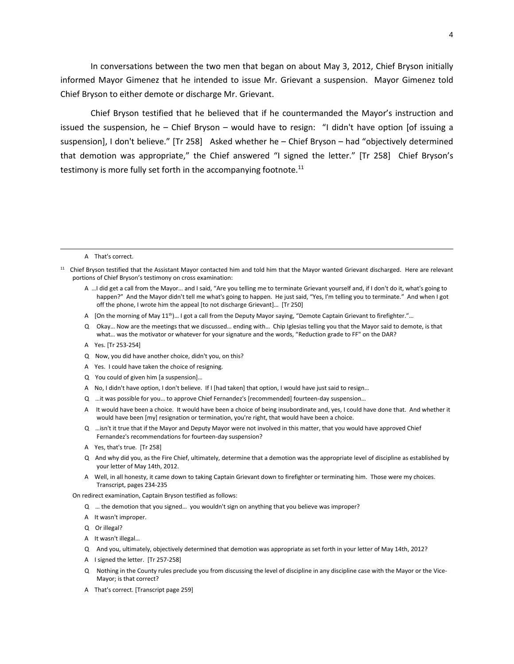In conversations between the two men that began on about May 3, 2012, Chief Bryson initially informed Mayor Gimenez that he intended to issue Mr. Grievant a suspension. Mayor Gimenez told Chief Bryson to either demote or discharge Mr. Grievant.

Chief Bryson testified that he believed that if he countermanded the Mayor's instruction and issued the suspension, he – Chief Bryson – would have to resign: "I didn't have option [of issuing a suspension], I don't believe." [Tr 258] Asked whether he – Chief Bryson – had "objectively determined that demotion was appropriate," the Chief answered "I signed the letter." [Tr 258] Chief Bryson's testimony is more fully set forth in the accompanying footnote.<sup>11</sup>

#### A That's correct.

 $\overline{a}$ 

- A …I did get a call from the Mayor… and I said, "Are you telling me to terminate Grievant yourself and, if I don't do it, what's going to happen?" And the Mayor didn't tell me what's going to happen. He just said, "Yes, I'm telling you to terminate." And when I got off the phone, I wrote him the appeal [to not discharge Grievant]… [Tr 250]
- A [On the morning of May 11<sup>th</sup>)... I got a call from the Deputy Mayor saying, "Demote Captain Grievant to firefighter."...
- Q Okay… Now are the meetings that we discussed… ending with… Chip Iglesias telling you that the Mayor said to demote, is that what… was the motivator or whatever for your signature and the words, "Reduction grade to FF" on the DAR?
- A Yes. [Tr 253-254]
- Q Now, you did have another choice, didn't you, on this?
- A Yes. I could have taken the choice of resigning.
- Q You could of given him [a suspension]…
- A No, I didn't have option, I don't believe. If I [had taken] that option, I would have just said to resign…
- Q …it was possible for you… to approve Chief Fernandez's [recommended] fourteen-day suspension…
- A It would have been a choice. It would have been a choice of being insubordinate and, yes, I could have done that. And whether it would have been [my] resignation or termination, you're right, that would have been a choice.
- Q …isn't it true that if the Mayor and Deputy Mayor were not involved in this matter, that you would have approved Chief Fernandez's recommendations for fourteen-day suspension?
- A Yes, that's true. [Tr 258]
- Q And why did you, as the Fire Chief, ultimately, determine that a demotion was the appropriate level of discipline as established by your letter of May 14th, 2012.
- A Well, in all honesty, it came down to taking Captain Grievant down to firefighter or terminating him. Those were my choices. Transcript, pages 234-235

On redirect examination, Captain Bryson testified as follows:

- Q … the demotion that you signed… you wouldn't sign on anything that you believe was improper?
- A It wasn't improper.
- Q Or illegal?
- A It wasn't illegal…
- Q And you, ultimately, objectively determined that demotion was appropriate as set forth in your letter of May 14th, 2012?
- A I signed the letter. [Tr 257-258]
- Q Nothing in the County rules preclude you from discussing the level of discipline in any discipline case with the Mayor or the Vice-Mayor; is that correct?
- A That's correct. [Transcript page 259]

<sup>&</sup>lt;sup>11</sup> Chief Bryson testified that the Assistant Mayor contacted him and told him that the Mayor wanted Grievant discharged. Here are relevant portions of Chief Bryson's testimony on cross examination: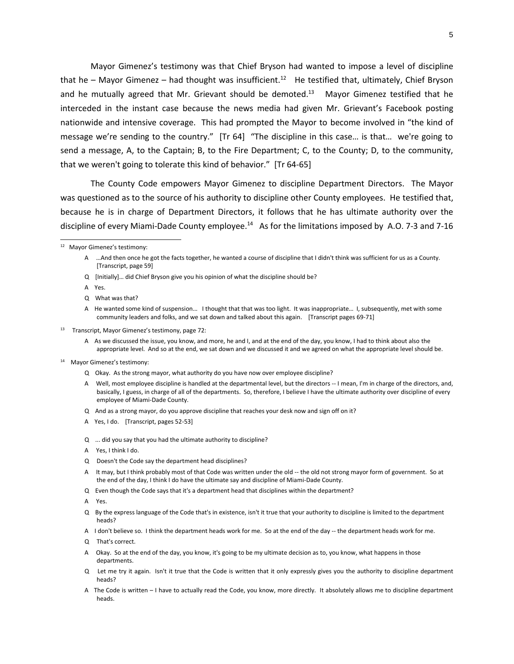Mayor Gimenez's testimony was that Chief Bryson had wanted to impose a level of discipline that he – Mayor Gimenez – had thought was insufficient.<sup>12</sup> He testified that, ultimately, Chief Bryson and he mutually agreed that Mr. Grievant should be demoted.<sup>13</sup> Mayor Gimenez testified that he interceded in the instant case because the news media had given Mr. Grievant's Facebook posting nationwide and intensive coverage. This had prompted the Mayor to become involved in "the kind of message we're sending to the country." [Tr 64] "The discipline in this case… is that… we're going to send a message, A, to the Captain; B, to the Fire Department; C, to the County; D, to the community, that we weren't going to tolerate this kind of behavior." [Tr 64-65]

The County Code empowers Mayor Gimenez to discipline Department Directors. The Mayor was questioned as to the source of his authority to discipline other County employees. He testified that, because he is in charge of Department Directors, it follows that he has ultimate authority over the discipline of every Miami-Dade County employee.<sup>14</sup> As for the limitations imposed by A.O. 7-3 and 7-16

A Yes.

 $\overline{a}$ 

- A As we discussed the issue, you know, and more, he and I, and at the end of the day, you know, I had to think about also the appropriate level. And so at the end, we sat down and we discussed it and we agreed on what the appropriate level should be.
- 14 Mayor Gimenez's testimony:
	- Q Okay. As the strong mayor, what authority do you have now over employee discipline?
	- A Well, most employee discipline is handled at the departmental level, but the directors -- I mean, I'm in charge of the directors, and, basically, I guess, in charge of all of the departments. So, therefore, I believe I have the ultimate authority over discipline of every employee of Miami-Dade County.
	- Q And as a strong mayor, do you approve discipline that reaches your desk now and sign off on it?
	- A Yes, I do. [Transcript, pages 52-53]
	- Q ... did you say that you had the ultimate authority to discipline?
	- A Yes, I think I do.
	- Q Doesn't the Code say the department head disciplines?
	- A It may, but I think probably most of that Code was written under the old -- the old not strong mayor form of government. So at the end of the day, I think I do have the ultimate say and discipline of Miami-Dade County.
	- Q Even though the Code says that it's a department head that disciplines within the department?
	- A Yes.
	- Q By the express language of the Code that's in existence, isn't it true that your authority to discipline is limited to the department heads?
	- A I don't believe so. I think the department heads work for me. So at the end of the day -- the department heads work for me.
	- Q That's correct.
	- Okay. So at the end of the day, you know, it's going to be my ultimate decision as to, you know, what happens in those departments.
	- Q Let me try it again. Isn't it true that the Code is written that it only expressly gives you the authority to discipline department heads?
	- A The Code is written I have to actually read the Code, you know, more directly. It absolutely allows me to discipline department heads.

<sup>12</sup> Mayor Gimenez's testimony:

A …And then once he got the facts together, he wanted a course of discipline that I didn't think was sufficient for us as a County. [Transcript, page 59]

Q [Initially]… did Chief Bryson give you his opinion of what the discipline should be?

Q What was that?

A He wanted some kind of suspension… I thought that that was too light. It was inappropriate… I, subsequently, met with some community leaders and folks, and we sat down and talked about this again. [Transcript pages 69-71]

<sup>13</sup> Transcript, Mayor Gimenez's testimony, page 72: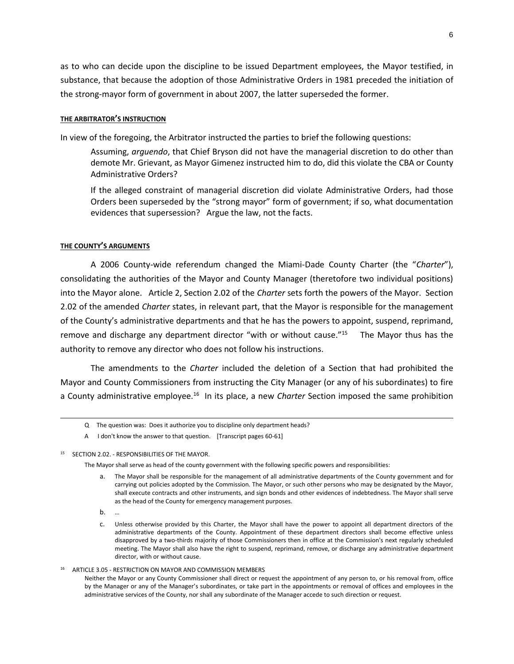as to who can decide upon the discipline to be issued Department employees, the Mayor testified, in substance, that because the adoption of those Administrative Orders in 1981 preceded the initiation of the strong-mayor form of government in about 2007, the latter superseded the former.

#### **THE ARBITRATOR'S INSTRUCTION**

In view of the foregoing, the Arbitrator instructed the parties to brief the following questions:

Assuming, *arguendo*, that Chief Bryson did not have the managerial discretion to do other than demote Mr. Grievant, as Mayor Gimenez instructed him to do, did this violate the CBA or County Administrative Orders?

If the alleged constraint of managerial discretion did violate Administrative Orders, had those Orders been superseded by the "strong mayor" form of government; if so, what documentation evidences that supersession? Argue the law, not the facts.

#### **THE COUNTY'S ARGUMENTS**

A 2006 County-wide referendum changed the Miami-Dade County Charter (the "*Charter*"), consolidating the authorities of the Mayor and County Manager (theretofore two individual positions) into the Mayor alone. Article 2, Section 2.02 of the *Charter* sets forth the powers of the Mayor. Section 2.02 of the amended *Charter* states, in relevant part, that the Mayor is responsible for the management of the County's administrative departments and that he has the powers to appoint, suspend, reprimand, remove and discharge any department director "with or without cause."<sup>15</sup> The Mayor thus has the authority to remove any director who does not follow his instructions.

The amendments to the *Charter* included the deletion of a Section that had prohibited the Mayor and County Commissioners from instructing the City Manager (or any of his subordinates) to fire a County administrative employee.<sup>16</sup> In its place, a new *Charter* Section imposed the same prohibition

The Mayor shall serve as head of the county government with the following specific powers and responsibilities:

- a. The Mayor shall be responsible for the management of all administrative departments of the County government and for carrying out policies adopted by the Commission. The Mayor, or such other persons who may be designated by the Mayor, shall execute contracts and other instruments, and sign bonds and other evidences of indebtedness. The Mayor shall serve as the head of the County for emergency management purposes.
- b. …

 $\overline{a}$ 

16 ARTICLE 3.05 - RESTRICTION ON MAYOR AND COMMISSION MEMBERS

Q The question was: Does it authorize you to discipline only department heads?

A I don't know the answer to that question. [Transcript pages 60-61]

<sup>15</sup> SECTION 2.02. - RESPONSIBILITIES OF THE MAYOR.

c. Unless otherwise provided by this Charter, the Mayor shall have the power to appoint all department directors of the administrative departments of the County. Appointment of these department directors shall become effective unless disapproved by a two-thirds majority of those Commissioners then in office at the Commission's next regularly scheduled meeting. The Mayor shall also have the right to suspend, reprimand, remove, or discharge any administrative department director, with or without cause.

Neither the Mayor or any County Commissioner shall direct or request the appointment of any person to, or his removal from, office by the Manager or any of the Manager's subordinates, or take part in the appointments or removal of offices and employees in the administrative services of the County, nor shall any subordinate of the Manager accede to such direction or request.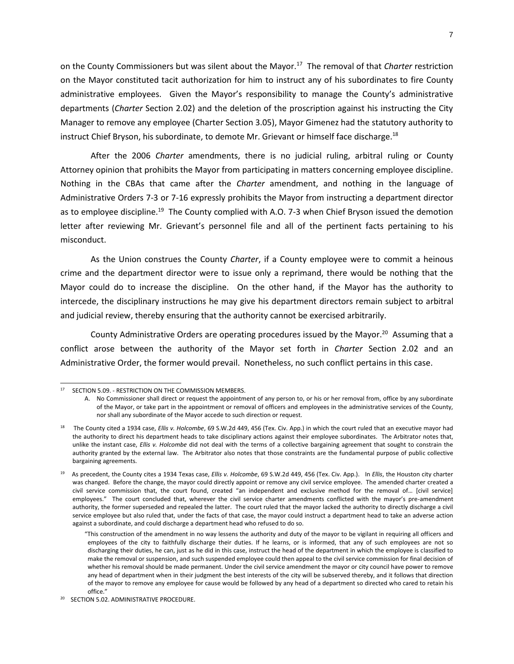on the County Commissioners but was silent about the Mayor.<sup>17</sup> The removal of that *Charter* restriction on the Mayor constituted tacit authorization for him to instruct any of his subordinates to fire County administrative employees. Given the Mayor's responsibility to manage the County's administrative departments (*Charter* Section 2.02) and the deletion of the proscription against his instructing the City Manager to remove any employee (Charter Section 3.05), Mayor Gimenez had the statutory authority to instruct Chief Bryson, his subordinate, to demote Mr. Grievant or himself face discharge.<sup>18</sup>

After the 2006 *Charter* amendments, there is no judicial ruling, arbitral ruling or County Attorney opinion that prohibits the Mayor from participating in matters concerning employee discipline. Nothing in the CBAs that came after the *Charter* amendment, and nothing in the language of Administrative Orders 7-3 or 7-16 expressly prohibits the Mayor from instructing a department director as to employee discipline.<sup>19</sup> The County complied with A.O. 7-3 when Chief Bryson issued the demotion letter after reviewing Mr. Grievant's personnel file and all of the pertinent facts pertaining to his misconduct.

As the Union construes the County *Charter*, if a County employee were to commit a heinous crime and the department director were to issue only a reprimand, there would be nothing that the Mayor could do to increase the discipline. On the other hand, if the Mayor has the authority to intercede, the disciplinary instructions he may give his department directors remain subject to arbitral and judicial review, thereby ensuring that the authority cannot be exercised arbitrarily.

County Administrative Orders are operating procedures issued by the Mayor.<sup>20</sup> Assuming that a conflict arose between the authority of the Mayor set forth in *Charter* Section 2.02 and an Administrative Order, the former would prevail. Nonetheless, no such conflict pertains in this case.

 $\overline{a}$ 

<sup>17</sup> SECTION 5.09. - RESTRICTION ON THE COMMISSION MEMBERS.

A. No Commissioner shall direct or request the appointment of any person to, or his or her removal from, office by any subordinate of the Mayor, or take part in the appointment or removal of officers and employees in the administrative services of the County, nor shall any subordinate of the Mayor accede to such direction or request.

<sup>18</sup> The County cited a 1934 case, *Ellis v. Holcombe*, 69 S.W.2d 449, 456 (Tex. Civ. App.) in which the court ruled that an executive mayor had the authority to direct his department heads to take disciplinary actions against their employee subordinates. The Arbitrator notes that, unlike the instant case, *Ellis v. Holcombe* did not deal with the terms of a collective bargaining agreement that sought to constrain the authority granted by the external law. The Arbitrator also notes that those constraints are the fundamental purpose of public collective bargaining agreements.

<sup>19</sup> As precedent, the County cites a 1934 Texas case, *Ellis v. Holcombe*, 69 S.W.2d 449, 456 (Tex. Civ. App.). In *Ellis*, the Houston city charter was changed. Before the change, the mayor could directly appoint or remove any civil service employee. The amended charter created a civil service commission that, the court found, created "an independent and exclusive method for the removal of… [civil service] employees." The court concluded that, wherever the civil service charter amendments conflicted with the mayor's pre-amendment authority, the former superseded and repealed the latter. The court ruled that the mayor lacked the authority to directly discharge a civil service employee but also ruled that, under the facts of that case, the mayor could instruct a department head to take an adverse action against a subordinate, and could discharge a department head who refused to do so.

<sup>&</sup>quot;This construction of the amendment in no way lessens the authority and duty of the mayor to be vigilant in requiring all officers and employees of the city to faithfully discharge their duties. If he learns, or is informed, that any of such employees are not so discharging their duties, he can, just as he did in this case, instruct the head of the department in which the employee is classified to make the removal or suspension, and such suspended employee could then appeal to the civil service commission for final decision of whether his removal should be made permanent. Under the civil service amendment the mayor or city council have power to remove any head of department when in their judgment the best interests of the city will be subserved thereby, and it follows that direction of the mayor to remove any employee for cause would be followed by any head of a department so directed who cared to retain his office."

<sup>20</sup> SECTION 5.02. ADMINISTRATIVE PROCEDURE.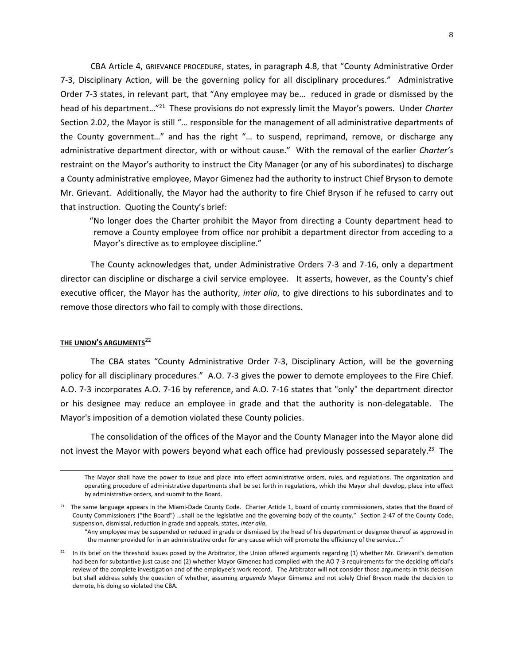CBA Article 4, GRIEVANCE PROCEDURE, states, in paragraph 4.8, that "County Administrative Order 7-3, Disciplinary Action, will be the governing policy for all disciplinary procedures." Administrative Order 7-3 states, in relevant part, that "Any employee may be… reduced in grade or dismissed by the head of his department…"<sup>21</sup> These provisions do not expressly limit the Mayor's powers. Under *Charter* Section 2.02, the Mayor is still "… responsible for the management of all administrative departments of the County government…" and has the right "… to suspend, reprimand, remove, or discharge any administrative department director, with or without cause." With the removal of the earlier *Charter's*  restraint on the Mayor's authority to instruct the City Manager (or any of his subordinates) to discharge a County administrative employee, Mayor Gimenez had the authority to instruct Chief Bryson to demote Mr. Grievant. Additionally, the Mayor had the authority to fire Chief Bryson if he refused to carry out that instruction. Quoting the County's brief:

"No longer does the Charter prohibit the Mayor from directing a County department head to remove a County employee from office nor prohibit a department director from acceding to a Mayor's directive as to employee discipline."

The County acknowledges that, under Administrative Orders 7-3 and 7-16, only a department director can discipline or discharge a civil service employee. It asserts, however, as the County's chief executive officer, the Mayor has the authority, *inter alia*, to give directions to his subordinates and to remove those directors who fail to comply with those directions.

# **THE UNION'S ARGUMENTS**<sup>22</sup>

l

The CBA states "County Administrative Order 7-3, Disciplinary Action, will be the governing policy for all disciplinary procedures." A.O. 7-3 gives the power to demote employees to the Fire Chief. A.O. 7-3 incorporates A.O. 7-16 by reference, and A.O. 7-16 states that "only" the department director or his designee may reduce an employee in grade and that the authority is non-delegatable. The Mayor's imposition of a demotion violated these County policies.

The consolidation of the offices of the Mayor and the County Manager into the Mayor alone did not invest the Mayor with powers beyond what each office had previously possessed separately.<sup>23</sup> The

The Mayor shall have the power to issue and place into effect administrative orders, rules, and regulations. The organization and operating procedure of administrative departments shall be set forth in regulations, which the Mayor shall develop, place into effect by administrative orders, and submit to the Board.

<sup>&</sup>lt;sup>21</sup> The same language appears in the Miami-Dade County Code. Charter Article 1, board of county commissioners, states that the Board of County Commissioners ("the Board") …shall be the legislative and the governing body of the county." Section 2-47 of the County Code, suspension, dismissal, reduction in grade and appeals, states, *inter alia*,

<sup>&</sup>quot;Any employee may be suspended or reduced in grade or dismissed by the head of his department or designee thereof as approved in the manner provided for in an administrative order for any cause which will promote the efficiency of the service…"

 $22$  In its brief on the threshold issues posed by the Arbitrator, the Union offered arguments regarding (1) whether Mr. Grievant's demotion had been for substantive just cause and (2) whether Mayor Gimenez had complied with the AO 7-3 requirements for the deciding official's review of the complete investigation and of the employee's work record. The Arbitrator will not consider those arguments in this decision but shall address solely the question of whether, assuming *arguendo* Mayor Gimenez and not solely Chief Bryson made the decision to demote, his doing so violated the CBA.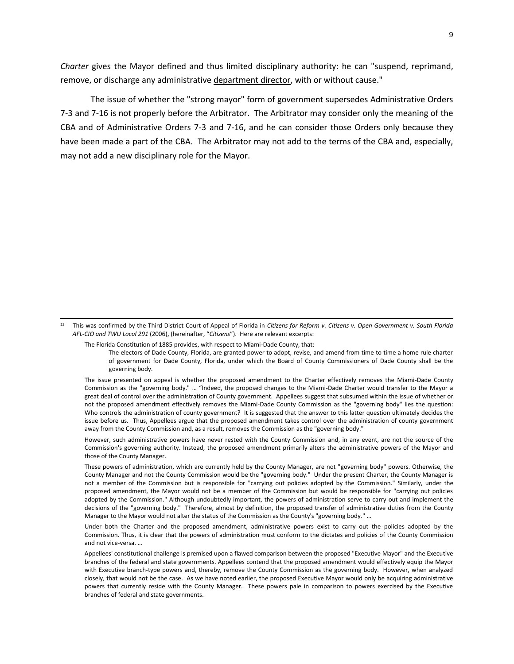*Charter* gives the Mayor defined and thus limited disciplinary authority: he can "suspend, reprimand, remove, or discharge any administrative department director, with or without cause."

The issue of whether the "strong mayor" form of government supersedes Administrative Orders 7-3 and 7-16 is not properly before the Arbitrator. The Arbitrator may consider only the meaning of the CBA and of Administrative Orders 7-3 and 7-16, and he can consider those Orders only because they have been made a part of the CBA. The Arbitrator may not add to the terms of the CBA and, especially, may not add a new disciplinary role for the Mayor.

23 This was confirmed by the Third District Court of Appeal of Florida in *Citizens for Reform v. Citizens v. Open Government v. South Florida AFL-CIO and TWU Local 291* (2006), (hereinafter, "*Citizens*"). Here are relevant excerpts:

The Florida Constitution of 1885 provides, with respect to Miami-Dade County, that:

 $\overline{a}$ 

The electors of Dade County, Florida, are granted power to adopt, revise, and amend from time to time a home rule charter of government for Dade County, Florida, under which the Board of County Commissioners of Dade County shall be the governing body.

The issue presented on appeal is whether the proposed amendment to the Charter effectively removes the Miami-Dade County Commission as the "governing body." … "Indeed, the proposed changes to the Miami-Dade Charter would transfer to the Mayor a great deal of control over the administration of County government. Appellees suggest that subsumed within the issue of whether or not the proposed amendment effectively removes the Miami-Dade County Commission as the "governing body" lies the question: Who controls the administration of county government? It is suggested that the answer to this latter question ultimately decides the issue before us. Thus, Appellees argue that the proposed amendment takes control over the administration of county government away from the County Commission and, as a result, removes the Commission as the "governing body."

However, such administrative powers have never rested with the County Commission and, in any event, are not the source of the Commission's governing authority. Instead, the proposed amendment primarily alters the administrative powers of the Mayor and those of the County Manager.

These powers of administration, which are currently held by the County Manager, are not "governing body" powers. Otherwise, the County Manager and not the County Commission would be the "governing body." Under the present Charter, the County Manager is not a member of the Commission but is responsible for "carrying out policies adopted by the Commission." Similarly, under the proposed amendment, the Mayor would not be a member of the Commission but would be responsible for "carrying out policies adopted by the Commission." Although undoubtedly important, the powers of administration serve to carry out and implement the decisions of the "governing body." Therefore, almost by definition, the proposed transfer of administrative duties from the County Manager to the Mayor would not alter the status of the Commission as the County's "governing body." …

Under both the Charter and the proposed amendment, administrative powers exist to carry out the policies adopted by the Commission. Thus, it is clear that the powers of administration must conform to the dictates and policies of the County Commission and not vice-versa. …

Appellees' constitutional challenge is premised upon a flawed comparison between the proposed "Executive Mayor" and the Executive branches of the federal and state governments. Appellees contend that the proposed amendment would effectively equip the Mayor with Executive branch-type powers and, thereby, remove the County Commission as the governing body. However, when analyzed closely, that would not be the case. As we have noted earlier, the proposed Executive Mayor would only be acquiring administrative powers that currently reside with the County Manager. These powers pale in comparison to powers exercised by the Executive branches of federal and state governments.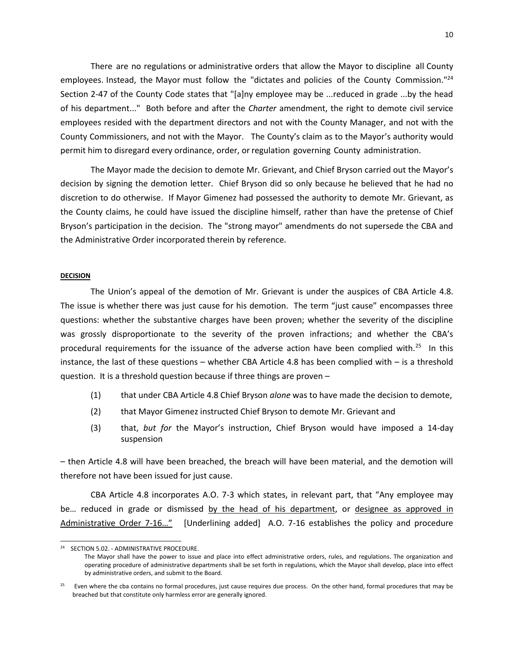There are no regulations or administrative orders that allow the Mayor to discipline all County employees. Instead, the Mayor must follow the "dictates and policies of the County Commission."<sup>24</sup> Section 2-47 of the County Code states that "[a]ny employee may be ...reduced in grade ...by the head of his department..." Both before and after the *Charter* amendment, the right to demote civil service employees resided with the department directors and not with the County Manager, and not with the County Commissioners, and not with the Mayor. The County's claim as to the Mayor's authority would permit him to disregard every ordinance, order, orregulation governing County administration.

The Mayor made the decision to demote Mr. Grievant, and Chief Bryson carried out the Mayor's decision by signing the demotion letter. Chief Bryson did so only because he believed that he had no discretion to do otherwise. If Mayor Gimenez had possessed the authority to demote Mr. Grievant, as the County claims, he could have issued the discipline himself, rather than have the pretense of Chief Bryson's participation in the decision. The "strong mayor" amendments do not supersede the CBA and the Administrative Order incorporated therein by reference.

## **DECISION**

 $\overline{a}$ 

The Union's appeal of the demotion of Mr. Grievant is under the auspices of CBA Article 4.8. The issue is whether there was just cause for his demotion. The term "just cause" encompasses three questions: whether the substantive charges have been proven; whether the severity of the discipline was grossly disproportionate to the severity of the proven infractions; and whether the CBA's procedural requirements for the issuance of the adverse action have been complied with.<sup>25</sup> In this instance, the last of these questions – whether CBA Article 4.8 has been complied with – is a threshold question. It is a threshold question because if three things are proven –

- (1) that under CBA Article 4.8 Chief Bryson *alone* was to have made the decision to demote,
- (2) that Mayor Gimenez instructed Chief Bryson to demote Mr. Grievant and
- (3) that, *but for* the Mayor's instruction, Chief Bryson would have imposed a 14-day suspension

– then Article 4.8 will have been breached, the breach will have been material, and the demotion will therefore not have been issued for just cause.

CBA Article 4.8 incorporates A.O. 7-3 which states, in relevant part, that "Any employee may be… reduced in grade or dismissed by the head of his department, or designee as approved in Administrative Order 7-16…" [Underlining added] A.O. 7-16 establishes the policy and procedure

<sup>24</sup> SECTION 5.02. - ADMINISTRATIVE PROCEDURE.

The Mayor shall have the power to issue and place into effect administrative orders, rules, and regulations. The organization and operating procedure of administrative departments shall be set forth in regulations, which the Mayor shall develop, place into effect by administrative orders, and submit to the Board.

<sup>&</sup>lt;sup>25</sup> Even where the cba contains no formal procedures, just cause requires due process. On the other hand, formal procedures that may be breached but that constitute only harmless error are generally ignored.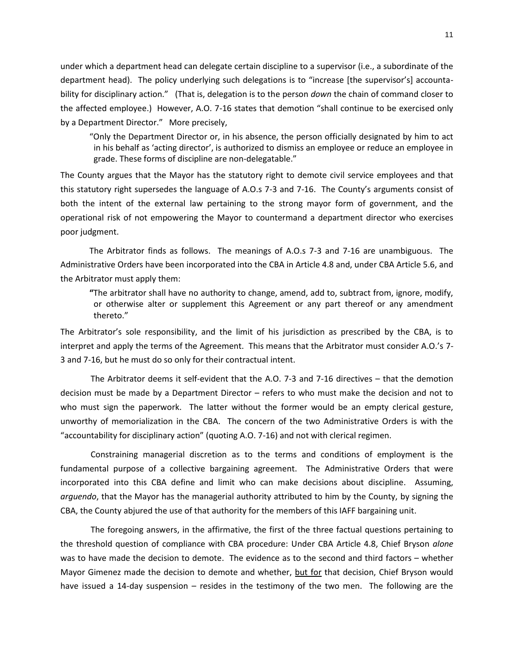under which a department head can delegate certain discipline to a supervisor (i.e., a subordinate of the department head). The policy underlying such delegations is to "increase [the supervisor's] accountability for disciplinary action." (That is, delegation is to the person *down* the chain of command closer to the affected employee.) However, A.O. 7-16 states that demotion "shall continue to be exercised only by a Department Director." More precisely,

"Only the Department Director or, in his absence, the person officially designated by him to act in his behalf as 'acting director', is authorized to dismiss an employee or reduce an employee in grade. These forms of discipline are non-delegatable."

The County argues that the Mayor has the statutory right to demote civil service employees and that this statutory right supersedes the language of A.O.s 7-3 and 7-16. The County's arguments consist of both the intent of the external law pertaining to the strong mayor form of government, and the operational risk of not empowering the Mayor to countermand a department director who exercises poor judgment.

The Arbitrator finds as follows. The meanings of A.O.s 7-3 and 7-16 are unambiguous. The Administrative Orders have been incorporated into the CBA in Article 4.8 and, under CBA Article 5.6, and the Arbitrator must apply them:

**"**The arbitrator shall have no authority to change, amend, add to, subtract from, ignore, modify, or otherwise alter or supplement this Agreement or any part thereof or any amendment thereto."

The Arbitrator's sole responsibility, and the limit of his jurisdiction as prescribed by the CBA, is to interpret and apply the terms of the Agreement. This means that the Arbitrator must consider A.O.'s 7- 3 and 7-16, but he must do so only for their contractual intent.

The Arbitrator deems it self-evident that the A.O. 7-3 and 7-16 directives – that the demotion decision must be made by a Department Director – refers to who must make the decision and not to who must sign the paperwork. The latter without the former would be an empty clerical gesture, unworthy of memorialization in the CBA. The concern of the two Administrative Orders is with the "accountability for disciplinary action" (quoting A.O. 7-16) and not with clerical regimen.

Constraining managerial discretion as to the terms and conditions of employment is the fundamental purpose of a collective bargaining agreement. The Administrative Orders that were incorporated into this CBA define and limit who can make decisions about discipline. Assuming, *arguendo*, that the Mayor has the managerial authority attributed to him by the County, by signing the CBA, the County abjured the use of that authority for the members of this IAFF bargaining unit.

The foregoing answers, in the affirmative, the first of the three factual questions pertaining to the threshold question of compliance with CBA procedure: Under CBA Article 4.8, Chief Bryson *alone* was to have made the decision to demote. The evidence as to the second and third factors – whether Mayor Gimenez made the decision to demote and whether, but for that decision, Chief Bryson would have issued a 14-day suspension – resides in the testimony of the two men. The following are the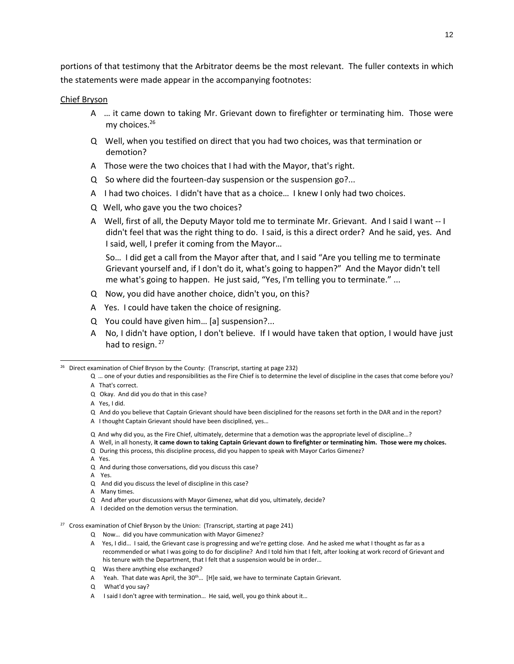portions of that testimony that the Arbitrator deems be the most relevant. The fuller contexts in which the statements were made appear in the accompanying footnotes:

# Chief Bryson

- A … it came down to taking Mr. Grievant down to firefighter or terminating him. Those were my choices.<sup>26</sup>
- Q Well, when you testified on direct that you had two choices, was that termination or demotion?
- A Those were the two choices that I had with the Mayor, that's right.
- Q So where did the fourteen-day suspension or the suspension go?...
- A I had two choices. I didn't have that as a choice… I knew I only had two choices.
- Q Well, who gave you the two choices?
- A Well, first of all, the Deputy Mayor told me to terminate Mr. Grievant. And I said I want -- I didn't feel that was the right thing to do. I said, is this a direct order? And he said, yes. And I said, well, I prefer it coming from the Mayor…

So… I did get a call from the Mayor after that, and I said "Are you telling me to terminate Grievant yourself and, if I don't do it, what's going to happen?" And the Mayor didn't tell me what's going to happen. He just said, "Yes, I'm telling you to terminate." ...

- Q Now, you did have another choice, didn't you, on this?
- A Yes. I could have taken the choice of resigning.
- Q You could have given him… [a] suspension?...
- A No, I didn't have option, I don't believe. If I would have taken that option, I would have just had to resign. 27

 $\overline{a}$ 

- Q And why did you, as the Fire Chief, ultimately, determine that a demotion was the appropriate level of discipline…?
- A Well, in all honesty, **it came down to taking Captain Grievant down to firefighter or terminating him. Those were my choices.**
- Q During this process, this discipline process, did you happen to speak with Mayor Carlos Gimenez?

A Yes.

- Q And during those conversations, did you discuss this case?
- A Yes.
- Q And did you discuss the level of discipline in this case?
- A Many times.
- Q And after your discussions with Mayor Gimenez, what did you, ultimately, decide?
- A I decided on the demotion versus the termination.
- 27 Cross examination of Chief Bryson by the Union:(Transcript, starting at page 241)
	- Q Now… did you have communication with Mayor Gimenez?
	- A Yes, I did… I said, the Grievant case is progressing and we're getting close. And he asked me what I thought as far as a recommended or what I was going to do for discipline? And I told him that I felt, after looking at work record of Grievant and his tenure with the Department, that I felt that a suspension would be in order…
	- Q Was there anything else exchanged?
	- A Yeah. That date was April, the 30<sup>th</sup>... [H]e said, we have to terminate Captain Grievant.
	- Q What'd you say?
	- A I said I don't agree with termination… He said, well, you go think about it…

<sup>26</sup> Direct examination of Chief Bryson by the County:(Transcript, starting at page 232)

Q … one of your duties and responsibilities as the Fire Chief is to determine the level of discipline in the cases that come before you? A That's correct.

Q Okay. And did you do that in this case?

A Yes, I did.

Q And do you believe that Captain Grievant should have been disciplined for the reasons set forth in the DAR and in the report?

A I thought Captain Grievant should have been disciplined, yes…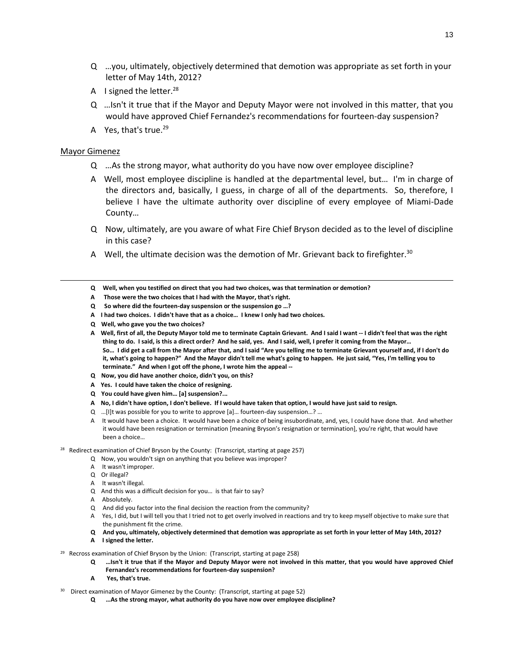- Q …you, ultimately, objectively determined that demotion was appropriate as set forth in your letter of May 14th, 2012?
- A I signed the letter. $^{28}$
- Q …Isn't it true that if the Mayor and Deputy Mayor were not involved in this matter, that you would have approved Chief Fernandez's recommendations for fourteen-day suspension?
- A Yes, that's true. $^{29}$

# Mayor Gimenez

l

- Q …As the strong mayor, what authority do you have now over employee discipline?
- A Well, most employee discipline is handled at the departmental level, but… I'm in charge of the directors and, basically, I guess, in charge of all of the departments. So, therefore, I believe I have the ultimate authority over discipline of every employee of Miami-Dade County…
- Q Now, ultimately, are you aware of what Fire Chief Bryson decided as to the level of discipline in this case?
- A Well, the ultimate decision was the demotion of Mr. Grievant back to firefighter.<sup>30</sup>
- **Q Well, when you testified on direct that you had two choices, was that termination or demotion?**
- **A Those were the two choices that I had with the Mayor, that's right.**
- **Q So where did the fourteen-day suspension or the suspension go …?**
- **A I had two choices. I didn't have that as a choice… I knew I only had two choices.**
- **Q Well, who gave you the two choices?**
- **A Well, first of all, the Deputy Mayor told me to terminate Captain Grievant. And I said I want -- I didn't feel that was the right thing to do. I said, is this a direct order? And he said, yes. And I said, well, I prefer it coming from the Mayor… So… I did get a call from the Mayor after that, and I said "Are you telling me to terminate Grievant yourself and, if I don't do it, what's going to happen?" And the Mayor didn't tell me what's going to happen. He just said, "Yes, I'm telling you to terminate." And when I got off the phone, I wrote him the appeal --**
- **Q Now, you did have another choice, didn't you, on this?**
- **A Yes. I could have taken the choice of resigning.**
- **Q You could have given him… [a] suspension?...**
- **A No, I didn't have option, I don't believe. If I would have taken that option, I would have just said to resign.**
- Q …[I]t was possible for you to write to approve [a]… fourteen-day suspension…? …
- A It would have been a choice. It would have been a choice of being insubordinate, and, yes, I could have done that. And whether it would have been resignation or termination [meaning Bryson's resignation or termination], you're right, that would have been a choice…
- 28 Redirect examination of Chief Bryson by the County:(Transcript, starting at page 257)
	- Q Now, you wouldn't sign on anything that you believe was improper?
	- A It wasn't improper.
	- Q Or illegal?
	- A It wasn't illegal.
	- Q And this was a difficult decision for you… is that fair to say?
	- A Absolutely.
	- Q And did you factor into the final decision the reaction from the community?
	- A Yes, I did, but I will tell you that I tried not to get overly involved in reactions and try to keep myself objective to make sure that the punishment fit the crime.
	- **Q And you, ultimately, objectively determined that demotion was appropriate as set forth in your letter of May 14th, 2012?**
	- **A I signed the letter.**
- <sup>29</sup> Recross examination of Chief Bryson by the Union: (Transcript, starting at page 258)
	- **Q …Isn't it true that if the Mayor and Deputy Mayor were not involved in this matter, that you would have approved Chief Fernandez's recommendations for fourteen-day suspension?**
	- **A Yes, that's true.**
- 30 Direct examination of Mayor Gimenez by the County:(Transcript, starting at page 52)
	- **Q …As the strong mayor, what authority do you have now over employee discipline?**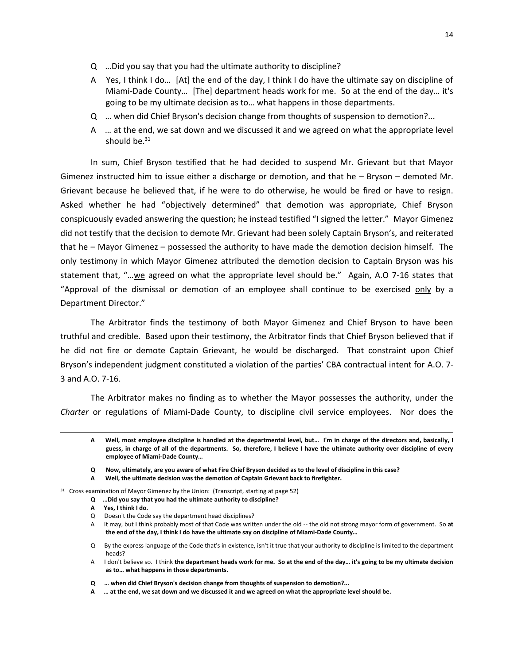- Q …Did you say that you had the ultimate authority to discipline?
- A Yes, I think I do… [At] the end of the day, I think I do have the ultimate say on discipline of Miami-Dade County… [The] department heads work for me. So at the end of the day… it's going to be my ultimate decision as to… what happens in those departments.
- Q … when did Chief Bryson's decision change from thoughts of suspension to demotion?...
- A … at the end, we sat down and we discussed it and we agreed on what the appropriate level should be. $31$

In sum, Chief Bryson testified that he had decided to suspend Mr. Grievant but that Mayor Gimenez instructed him to issue either a discharge or demotion, and that he – Bryson – demoted Mr. Grievant because he believed that, if he were to do otherwise, he would be fired or have to resign. Asked whether he had "objectively determined" that demotion was appropriate, Chief Bryson conspicuously evaded answering the question; he instead testified "I signed the letter." Mayor Gimenez did not testify that the decision to demote Mr. Grievant had been solely Captain Bryson's, and reiterated that he – Mayor Gimenez – possessed the authority to have made the demotion decision himself. The only testimony in which Mayor Gimenez attributed the demotion decision to Captain Bryson was his statement that, "…we agreed on what the appropriate level should be." Again, A.O 7-16 states that "Approval of the dismissal or demotion of an employee shall continue to be exercised only by a Department Director."

The Arbitrator finds the testimony of both Mayor Gimenez and Chief Bryson to have been truthful and credible. Based upon their testimony, the Arbitrator finds that Chief Bryson believed that if he did not fire or demote Captain Grievant, he would be discharged. That constraint upon Chief Bryson's independent judgment constituted a violation of the parties' CBA contractual intent for A.O. 7- 3 and A.O. 7-16.

The Arbitrator makes no finding as to whether the Mayor possesses the authority, under the *Charter* or regulations of Miami-Dade County, to discipline civil service employees. Nor does the

- **Q Now, ultimately, are you aware of what Fire Chief Bryson decided as to the level of discipline in this case?**
- **A Well, the ultimate decision was the demotion of Captain Grievant back to firefighter.**

- **Q …Did you say that you had the ultimate authority to discipline?**
- **A Yes, I think I do.**

l

**A Well, most employee discipline is handled at the departmental level, but… I'm in charge of the directors and, basically, I guess, in charge of all of the departments. So, therefore, I believe I have the ultimate authority over discipline of every employee of Miami-Dade County…**

 $31$  Cross examination of Mayor Gimenez by the Union: (Transcript, starting at page 52)

Q Doesn't the Code say the department head disciplines?

A It may, but I think probably most of that Code was written under the old -- the old not strong mayor form of government. So **at the end of the day, I think I do have the ultimate say on discipline of Miami-Dade County…**

Q By the express language of the Code that's in existence, isn't it true that your authority to discipline is limited to the department heads?

A I don't believe so. I think **the department heads work for me. So at the end of the day… it's going to be my ultimate decision as to… what happens in those departments.**

**Q … when did Chief Bryson's decision change from thoughts of suspension to demotion?...**

**A … at the end, we sat down and we discussed it and we agreed on what the appropriate level should be.**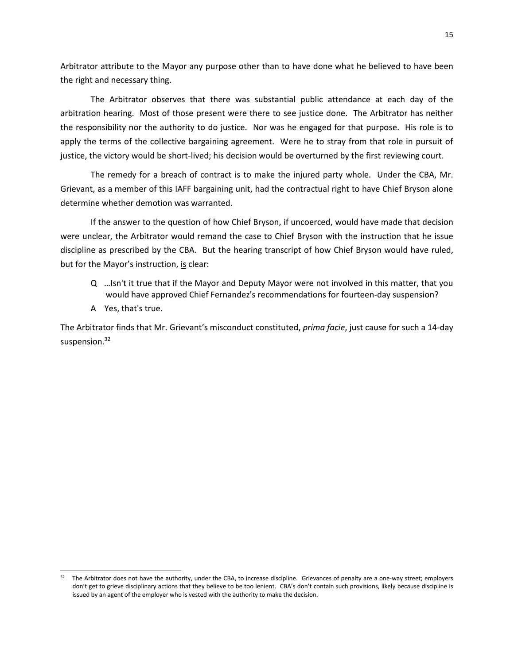Arbitrator attribute to the Mayor any purpose other than to have done what he believed to have been the right and necessary thing.

The Arbitrator observes that there was substantial public attendance at each day of the arbitration hearing. Most of those present were there to see justice done. The Arbitrator has neither the responsibility nor the authority to do justice. Nor was he engaged for that purpose. His role is to apply the terms of the collective bargaining agreement. Were he to stray from that role in pursuit of justice, the victory would be short-lived; his decision would be overturned by the first reviewing court.

The remedy for a breach of contract is to make the injured party whole. Under the CBA, Mr. Grievant, as a member of this IAFF bargaining unit, had the contractual right to have Chief Bryson alone determine whether demotion was warranted.

If the answer to the question of how Chief Bryson, if uncoerced, would have made that decision were unclear, the Arbitrator would remand the case to Chief Bryson with the instruction that he issue discipline as prescribed by the CBA. But the hearing transcript of how Chief Bryson would have ruled, but for the Mayor's instruction, is clear:

- Q …Isn't it true that if the Mayor and Deputy Mayor were not involved in this matter, that you would have approved Chief Fernandez's recommendations for fourteen-day suspension?
- A Yes, that's true.

l

The Arbitrator finds that Mr. Grievant's misconduct constituted, *prima facie*, just cause for such a 14-day suspension.<sup>32</sup>

<sup>&</sup>lt;sup>32</sup> The Arbitrator does not have the authority, under the CBA, to increase discipline. Grievances of penalty are a one-way street; employers don't get to grieve disciplinary actions that they believe to be too lenient. CBA's don't contain such provisions, likely because discipline is issued by an agent of the employer who is vested with the authority to make the decision.